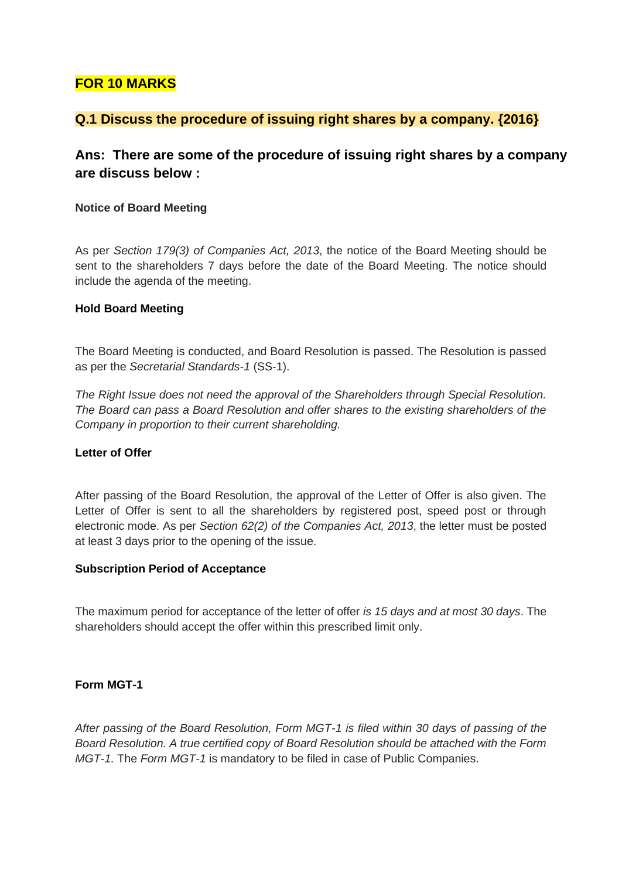# **FOR 10 MARKS**

## **Q.1 Discuss the procedure of issuing right shares by a company. {2016}**

# **Ans: There are some of the procedure of issuing right shares by a company are discuss below :**

## **Notice of Board Meeting**

As per *Section 179(3) of Companies Act, 2013*, the notice of the Board Meeting should be sent to the shareholders 7 days before the date of the Board Meeting. The notice should include the agenda of the meeting.

## **Hold Board Meeting**

The Board Meeting is conducted, and Board Resolution is passed. The Resolution is passed as per the *Secretarial Standards-1* (SS-1).

*The Right Issue does not need the approval of the Shareholders through Special Resolution. The Board can pass a Board Resolution and offer shares to the existing shareholders of the Company in proportion to their current shareholding.* 

## **Letter of Offer**

After passing of the Board Resolution, the approval of the Letter of Offer is also given. The Letter of Offer is sent to all the shareholders by registered post, speed post or through electronic mode. As per *Section 62(2) of the Companies Act, 2013*, the letter must be posted at least 3 days prior to the opening of the issue.

### **Subscription Period of Acceptance**

The maximum period for acceptance of the letter of offer *is 15 days and at most 30 days*. The shareholders should accept the offer within this prescribed limit only.

## **Form MGT-1**

*After passing of the Board Resolution, Form MGT-1 is filed within 30 days of passing of the Board Resolution. A true certified copy of Board Resolution should be attached with the Form MGT-1.* The *Form MGT-1* is mandatory to be filed in case of Public Companies.